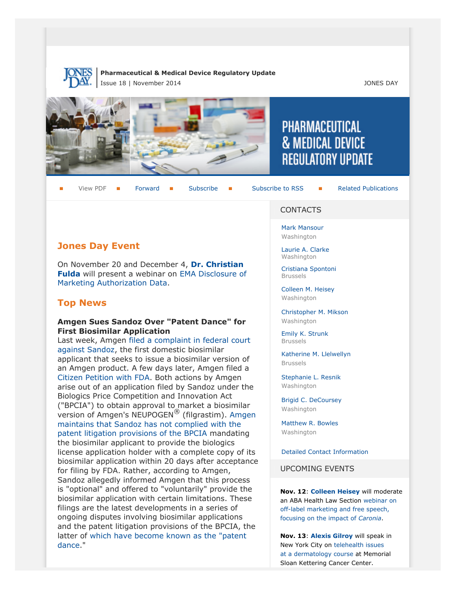

#### **Pharmaceutical & Medical Device Regulatory Update** Issue 18 | November 2014 JONES DAY



View PDF **[Forward](http://thewritestuff.jonesday.com/cff/cd160f05cbd2b2b829443be4bb15cf5420bdd9ec/) Forward [Subscribe](http://www.jonesday.com/newsknowledge/publications.aspx) Gubscribe to RSS** [Related Publications](http://www.jonesday.com/experiencepractices/servicedetail.aspx?serviceid=593cb647-a5c4-49c3-9086-fedc34b24e1d§ion=Publications)

# **Jones Day Event**

On November 20 and December 4, **[Dr. Christian](http://www.jonesday.com/cfulda) [Fulda](http://www.jonesday.com/cfulda)** will present a webinar on [EMA Disclosure of](http://www.jonesday.com/EMA-Disclosure-of-Marketing-Authorization-Data-11-20-2014) [Marketing Authorization Data.](http://www.jonesday.com/EMA-Disclosure-of-Marketing-Authorization-Data-11-20-2014)

# **Top News**

### **Amgen Sues Sandoz Over "Patent Dance" for First Biosimilar Application**

Last week, Amgen [filed a complaint in federal court](http://blogs.wsj.com/pharmalot/2014/11/03/amgen-and-sandoz-square-off-over-a-biosimilar-application/) [against Sandoz,](http://blogs.wsj.com/pharmalot/2014/11/03/amgen-and-sandoz-square-off-over-a-biosimilar-application/) the first domestic biosimilar applicant that seeks to issue a biosimilar version of an Amgen product. A few days later, Amgen filed a [Citizen Petition with FDA.](http://www.regulations.gov/#!documentDetail;D=FDA-2014-P-1771-0001) Both actions by Amgen arise out of an application filed by Sandoz under the Biologics Price Competition and Innovation Act ("BPCIA") to obtain approval to market a biosimilar version of Amgen's NEUPOGEN® (filgrastim). [Amgen](http://blogs.wsj.com/pharmalot/2014/11/03/amgen-and-sandoz-square-off-over-a-biosimilar-application/) [maintains that Sandoz has not complied with the](http://blogs.wsj.com/pharmalot/2014/11/03/amgen-and-sandoz-square-off-over-a-biosimilar-application/) [patent litigation provisions of the BPCIA](http://blogs.wsj.com/pharmalot/2014/11/03/amgen-and-sandoz-square-off-over-a-biosimilar-application/) mandating the biosimilar applicant to provide the biologics license application holder with a complete copy of its biosimilar application within 20 days after acceptance for filing by FDA. Rather, according to Amgen, Sandoz allegedly informed Amgen that this process is "optional" and offered to "voluntarily" provide the biosimilar application with certain limitations. These filings are the latest developments in a series of ongoing disputes involving biosimilar applications and the patent litigation provisions of the BPCIA, the latter of [which have become known as the "patent](http://www.jonesday.com/files/Publication/8720b169-8bf2-4ddc-8285-36427adc519b/Presentation/PublicationAttachment/79dd58b8-200e-4540-bb4f-22e199b451e0/Jones%20Day%20%28DJ%208.27.14%29.pdf) [dance.](http://www.jonesday.com/files/Publication/8720b169-8bf2-4ddc-8285-36427adc519b/Presentation/PublicationAttachment/79dd58b8-200e-4540-bb4f-22e199b451e0/Jones%20Day%20%28DJ%208.27.14%29.pdf)"

#### **CONTACTS**

PHARMACEUTICAL

**& MEDICAL DEVICE** 

**REGULATORY UPDATE** 

[Mark Mansour](http://www.jonesday.com/mmansour) Washington

[Laurie A. Clarke](http://www.jonesday.com/lclarke) Washington

[Cristiana Spontoni](http://www.jonesday.com/cspontoni) Brussels

[Colleen M. Heisey](http://www.jonesday.com/cmheisey) Washington

[Christopher M. Mikson](http://www.jonesday.com/cmikson) Washington

[Emily K. Strunk](http://www.jonesday.com/estrunk) Brussels

[Katherine M. Llelwellyn](http://www.jonesday.com/kllewellyn) Brussels

[Stephanie L. Resnik](http://www.jonesday.com/sresnik) Washington

[Brigid C. DeCoursey](http://www.jonesday.com/bdecoursey) Washington

[Matthew R. Bowles](http://www.jonesday.com/mbowles) **Washington** 

[Detailed Contact Information](#page-5-0)

#### UPCOMING EVENTS

**Nov. 12**: **[Colleen Heisey](http://www.jonesday.com/cmheisey/)** will moderate an ABA Health Law Section [webinar on](http://shop.americanbar.org/ebus/ABAEventsCalendar/EventDetails.aspx?productId=137218496) [off-label marketing and free speech,](http://shop.americanbar.org/ebus/ABAEventsCalendar/EventDetails.aspx?productId=137218496) [focusing on the impact of](http://shop.americanbar.org/ebus/ABAEventsCalendar/EventDetails.aspx?productId=137218496) *Caronia*.

**Nov. 13**: **[Alexis Gilroy](http://www.jonesday.com/agilroy)** will speak in New York City on [telehealth issues](https://www.mskcc.org/events/cme/envisioning-future-dermatology-through-lens-medical-informatics/form-0) [at a dermatology course](https://www.mskcc.org/events/cme/envisioning-future-dermatology-through-lens-medical-informatics/form-0) at Memorial Sloan Kettering Cancer Center.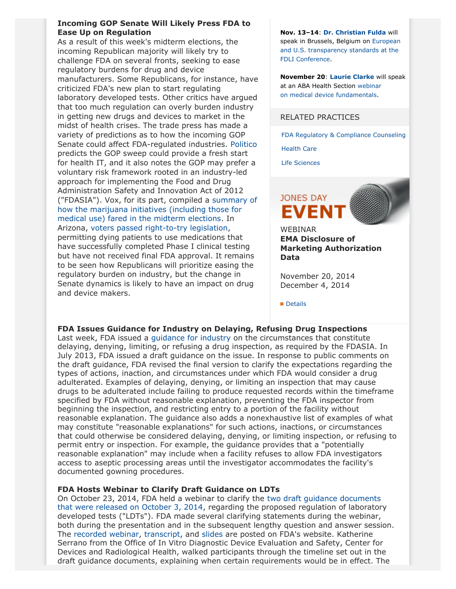## **Incoming GOP Senate Will Likely Press FDA to Ease Up on Regulation**

As a result of this week's midterm elections, the incoming Republican majority will likely try to challenge FDA on several fronts, seeking to ease regulatory burdens for drug and device manufacturers. Some Republicans, for instance, have criticized FDA's new plan to start regulating laboratory developed tests. Other critics have argued that too much regulation can overly burden industry in getting new drugs and devices to market in the midst of health crises. The trade press has made a variety of predictions as to how the incoming GOP Senate could affect FDA-regulated industries. [Politico](http://www.politico.com/morningehealth/1114/morningehealth15973.html) predicts the GOP sweep could provide a fresh start for health IT, and it also notes the GOP may prefer a voluntary risk framework rooted in an industry-led approach for implementing the Food and Drug Administration Safety and Innovation Act of 2012 ("FDASIA"). Vox, for its part, compiled a [summary of](http://www.vox.com/2014/10/20/6953771/weed-legalization-alaska-florida-oregon-washington-dc-vote/in/6914992) [how the marijuana initiatives \(including those for](http://www.vox.com/2014/10/20/6953771/weed-legalization-alaska-florida-oregon-washington-dc-vote/in/6914992) [medical use\) fared in the midterm elections](http://www.vox.com/2014/10/20/6953771/weed-legalization-alaska-florida-oregon-washington-dc-vote/in/6914992). In Arizona, [voters passed right-to-try legislation](http://www.washingtonpost.com/blogs/wonkblog/wp/2014/11/05/voters-in-arizona-just-overwhelmingly-backed-a-dallas-buyers-club-law-will-it-help-patients/), permitting dying patients to use medications that have successfully completed Phase I clinical testing but have not received final FDA approval. It remains to be seen how Republicans will prioritize easing the regulatory burden on industry, but the change in Senate dynamics is likely to have an impact on drug and device makers.

**Nov. 13–14**: **[Dr. Christian Fulda](http://www.jonesday.com/cfulda/)** will speak in Brussels, Belgium on [European](http://www.fdli.org/conferences/conference-pages/brussels-conference/overview) [and U.S. transparency standards at the](http://www.fdli.org/conferences/conference-pages/brussels-conference/overview) [FDLI Conference](http://www.fdli.org/conferences/conference-pages/brussels-conference/overview).

**November 20**: **[Laurie Clarke](http://www.jonesday.com/lclarke/)** will speak at an ABA Health Section [webinar](http://shop.americanbar.org/ebus/ABAEventsCalendar/EventDetails.aspx?productId=138341798) on [medical device](http://shop.americanbar.org/ebus/ABAEventsCalendar/EventDetails.aspx?productId=138341798) fundamentals.

#### RELATED PRACTICES

[FDA Regulatory & Compliance Counseling](http://www.jonesday.com/fdaregulatoryandcompliancecounseling/)

[Health Care](http://www.jonesday.com/Health-Care-Practices)

[Life Sciences](http://www.jonesday.com/lifesciences/)



WEBINAR **EMA Disclosure of Marketing Authorization Data**

November 20, 2014 December 4, 2014

**[Details](http://www.jonesday.com/ema-disclosure-of-marketing-authorization-data-11-20-2014/)** 

## **FDA Issues Guidance for Industry on Delaying, Refusing Drug Inspections**

Last week, FDA issued a [guidance for industry](http://www.fda.gov/downloads/RegulatoryInformation/Guidances/UCM360484.pdf) on the circumstances that constitute delaying, denying, limiting, or refusing a drug inspection, as required by the FDASIA. In July 2013, FDA issued a draft guidance on the issue. In response to public comments on the draft guidance, FDA revised the final version to clarify the expectations regarding the types of actions, inaction, and circumstances under which FDA would consider a drug adulterated. Examples of delaying, denying, or limiting an inspection that may cause drugs to be adulterated include failing to produce requested records within the timeframe specified by FDA without reasonable explanation, preventing the FDA inspector from beginning the inspection, and restricting entry to a portion of the facility without reasonable explanation. The guidance also adds a nonexhaustive list of examples of what may constitute "reasonable explanations" for such actions, inactions, or circumstances that could otherwise be considered delaying, denying, or limiting inspection, or refusing to permit entry or inspection. For example, the guidance provides that a "potentially reasonable explanation" may include when a facility refuses to allow FDA investigators access to aseptic processing areas until the investigator accommodates the facility's documented gowning procedures.

#### **FDA Hosts Webinar to Clarify Draft Guidance on LDTs**

On October 23, 2014, FDA held a webinar to clarify the [two draft guidance documents](http://www.jonesday.com/files/Publication/d629898d-aa1f-43f4-b579-9c88a506cd58/Presentation/PublicationAttachment/8d524301-ff88-4585-8b97-a2a74a5ba906/FDA%20Releases%20Framework.pdf) [that were released on October 3, 2014,](http://www.jonesday.com/files/Publication/d629898d-aa1f-43f4-b579-9c88a506cd58/Presentation/PublicationAttachment/8d524301-ff88-4585-8b97-a2a74a5ba906/FDA%20Releases%20Framework.pdf) regarding the proposed regulation of laboratory developed tests ("LDTs"). FDA made several clarifying statements during the webinar, both during the presentation and in the subsequent lengthy question and answer session. The [recorded webinar,](http://www.fda.gov/downloads/Training/CDRHLearn/UCM421212.wmv) [transcript,](http://www.fda.gov/downloads/Training/CDRHLearn/UCM421213.pdf) and [slides](http://www.fda.gov/downloads/Training/CDRHLearn/UCM419777.pdf) are posted on FDA's website. Katherine Serrano from the Office of In Vitro Diagnostic Device Evaluation and Safety, Center for Devices and Radiological Health, walked participants through the timeline set out in the draft guidance documents, explaining when certain requirements would be in effect. The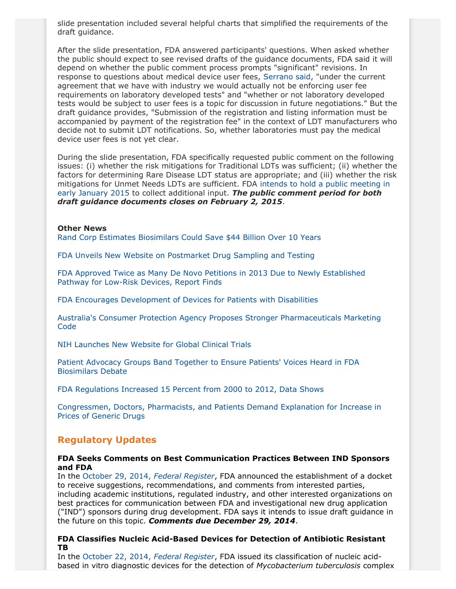slide presentation included several helpful charts that simplified the requirements of the draft guidance.

After the slide presentation, FDA answered participants' questions. When asked whether the public should expect to see revised drafts of the guidance documents, FDA said it will depend on whether the public comment process prompts "significant" revisions. In response to questions about medical device user fees, [Serrano said](http://www.fda.gov/downloads/Training/CDRHLearn/UCM421213.pdf), "under the current agreement that we have with industry we would actually not be enforcing user fee requirements on laboratory developed tests" and "whether or not laboratory developed tests would be subject to user fees is a topic for discussion in future negotiations." But the draft guidance provides, "Submission of the registration and listing information must be accompanied by payment of the registration fee" in the context of LDT manufacturers who decide not to submit LDT notifications. So, whether laboratories must pay the medical device user fees is not yet clear.

During the slide presentation, FDA specifically requested public comment on the following issues: (i) whether the risk mitigations for Traditional LDTs was sufficient; (ii) whether the factors for determining Rare Disease LDT status are appropriate; and (iii) whether the risk mitigations for Unmet Needs LDTs are sufficient. FDA [intends to hold a public meeting in](http://www.fda.gov/medicaldevices/productsandmedicalprocedures/invitrodiagnostics/ucm407296.htm) [early January 2015](http://www.fda.gov/medicaldevices/productsandmedicalprocedures/invitrodiagnostics/ucm407296.htm) to collect additional input. *The public comment period for both draft guidance documents closes on February 2, 2015*.

### **Other News**

[Rand Corp Estimates Biosimilars Could Save \\$44 Billion Over 10 Years](http://www.chaindrugreview.com/front-page/newsbreaks/study-biosimilars-promise-substantial-cost-savings)

[FDA Unveils New Website on Postmarket Drug Sampling and Testing](http://www.fda.gov/Drugs/ScienceResearch/ucm407277.htm?source=govdelivery&utm_medium=email&utm_source=govdelivery)

[FDA Approved Twice as Many De Novo Petitions in 2013 Due to Newly Established](https://www.pharmamedtechbi.com/~/media/Supporting%20Documents/The%20Gray%20Sheet/40/43/CHIReportTakingthePulseofMedicalDeviceRegulationInnovation_Oct2014.pdf) [Pathway for Low-Risk Devices, Report Finds](https://www.pharmamedtechbi.com/~/media/Supporting%20Documents/The%20Gray%20Sheet/40/43/CHIReportTakingthePulseofMedicalDeviceRegulationInnovation_Oct2014.pdf)

[FDA Encourages Development of Devices for Patients with Disabilities](http://blogs.fda.gov/fdavoice/index.php/2014/10/fda-encourages-development-of-devices-for-patients-with-disabilities/?source=govdelivery&utm_medium=email&utm_source=govdelivery)

[Australia's Consumer Protection Agency Proposes Stronger Pharmaceuticals Marketing](http://registers.accc.gov.au/content/index.phtml/itemId/1179619/fromItemId/278039) **[Code](http://registers.accc.gov.au/content/index.phtml/itemId/1179619/fromItemId/278039)** 

[NIH Launches New Website for Global Clinical Trials](http://www.raps.org/Regulatory-Focus/News/2014/10/29/20648/How-NIH-Hopes-to-Make-Running-Global-Clinical-Trials-Easier-for-Everyone/)

[Patient Advocacy Groups Band Together to Ensure Patients' Voices Heard in FDA](http://www.biosimsafety.org/news/) [Biosimilars Debate](http://www.biosimsafety.org/news/)

[FDA Regulations Increased 15 Percent from 2000 to 2012, Data Shows](http://www.raps.org/Regulatory-Focus/News/2014/10/30/20656/Its-Not-Just-You-FDA-Regulatory-Requirements-Really-Are-Increasing/)

[Congressmen, Doctors, Pharmacists, and Patients Demand Explanation for Increase in](http://chicago.cbslocal.com/2014/10/31/prices-soar-for-some-generic-drugs-why/) [Prices of Generic Drugs](http://chicago.cbslocal.com/2014/10/31/prices-soar-for-some-generic-drugs-why/)

## **Regulatory Updates**

## **FDA Seeks Comments on Best Communication Practices Between IND Sponsors and FDA**

In the [October 29, 2014,](http://www.gpo.gov/fdsys/pkg/FR-2014-10-29/pdf/2014-25641.pdf) *Federal Register*, FDA announced the establishment of a docket to receive suggestions, recommendations, and comments from interested parties, including academic institutions, regulated industry, and other interested organizations on best practices for communication between FDA and investigational new drug application ("IND") sponsors during drug development. FDA says it intends to issue draft guidance in the future on this topic. *Comments due December 29, 2014*.

## **FDA Classifies Nucleic Acid-Based Devices for Detection of Antibiotic Resistant TB**

In the [October 22, 2014,](http://www.gpo.gov/fdsys/pkg/FR-2014-10-22/pdf/2014-25049.pdf) *Federal Register*, FDA issued its classification of nucleic acidbased in vitro diagnostic devices for the detection of *Mycobacterium tuberculosis* complex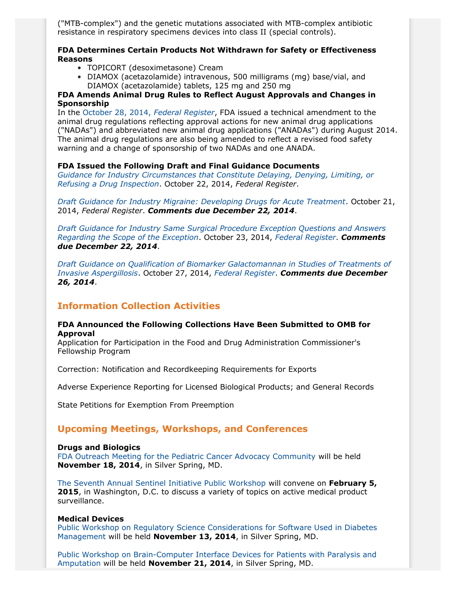("MTB-complex") and the genetic mutations associated with MTB-complex antibiotic resistance in respiratory specimens devices into class II (special controls).

#### **FDA Determines Certain Products Not Withdrawn for Safety or Effectiveness Reasons**

- TOPICORT (desoximetasone) Cream
- DIAMOX (acetazolamide) intravenous, 500 milligrams (mg) base/vial, and DIAMOX (acetazolamide) tablets, 125 mg and 250 mg

## **FDA Amends Animal Drug Rules to Reflect August Approvals and Changes in Sponsorship**

In the [October 28, 2014,](http://www.gpo.gov/fdsys/pkg/FR-2014-10-28/pdf/2014-25588.pdf) *Federal Register*, FDA issued a technical amendment to the animal drug regulations reflecting approval actions for new animal drug applications ("NADAs") and abbreviated new animal drug applications ("ANADAs") during August 2014. The animal drug regulations are also being amended to reflect a revised food safety warning and a change of sponsorship of two NADAs and one ANADA.

## **FDA Issued the Following Draft and Final Guidance Documents**

*[Guidance for Industry Circumstances that Constitute Delaying, Denying, Limiting, or](http://www.fda.gov/downloads/RegulatoryInformation/Guidances/UCM360484.pdf) [Refusing a Drug Inspection](http://www.fda.gov/downloads/RegulatoryInformation/Guidances/UCM360484.pdf)*. October 22, 2014, *Federal Register*.

*[Draft Guidance for Industry Migraine: Developing Drugs for Acute Treatment](http://www.fda.gov/downloads/Drugs/GuidanceComplianceRegulatoryInformation/Guidances/UCM419465.pdf)*. October 21, 2014, *Federal Register*. *Comments due December 22, 2014*.

*[Draft Guidance for Industry Same Surgical Procedure Exception Questions and Answers](http://www.fda.gov/BiologicsBloodVaccines/GuidanceComplianceRegulatoryInformation/Guidances/Tissue/ucm419911.htm) [Regarding the Scope of the Exception](http://www.fda.gov/BiologicsBloodVaccines/GuidanceComplianceRegulatoryInformation/Guidances/Tissue/ucm419911.htm)*. October 23, 2014, *[Federal Register](http://www.gpo.gov/fdsys/pkg/FR-2014-10-23/pdf/2014-25217.pdf)*. *Comments due December 22, 2014*.

*[Draft Guidance on Qualification of Biomarker Galactomannan in Studies of Treatments of](http://www.fda.gov/downloads/Drugs/GuidanceComplianceRegulatoryInformation/Guidances/UCM420248.pdf) [Invasive Aspergillosis](http://www.fda.gov/downloads/Drugs/GuidanceComplianceRegulatoryInformation/Guidances/UCM420248.pdf)*. October 27, 2014, *[Federal Register](http://www.gpo.gov/fdsys/pkg/FR-2014-10-27/pdf/2014-25532.pdf)*. *Comments due December 26, 2014*.

# **Information Collection Activities**

### **FDA Announced the Following Collections Have Been Submitted to OMB for Approval**

Application for Participation in the Food and Drug Administration Commissioner's Fellowship Program

Correction: Notification and Recordkeeping Requirements for Exports

Adverse Experience Reporting for Licensed Biological Products; and General Records

State Petitions for Exemption From Preemption

# **Upcoming Meetings, Workshops, and Conferences**

## **Drugs and Biologics**

[FDA Outreach Meeting for the Pediatric Cancer Advocacy Community](http://www.fda.gov/Drugs/NewsEvents/ucm419808.htm) will be held **November 18, 2014**, in Silver Spring, MD.

[The Seventh Annual Sentinel Initiative Public Workshop](http://www.gpo.gov/fdsys/pkg/FR-2014-10-22/pdf/2014-25053.pdf) will convene on **February 5, 2015**, in Washington, D.C. to discuss a variety of topics on active medical product surveillance.

#### **Medical Devices**

[Public Workshop on Regulatory Science Considerations for Software Used in Diabetes](http://www.gpo.gov/fdsys/pkg/FR-2014-10-15/pdf/2014-24451.pdf) [Management](http://www.gpo.gov/fdsys/pkg/FR-2014-10-15/pdf/2014-24451.pdf) will be held **November 13, 2014**, in Silver Spring, MD.

[Public Workshop on Brain-Computer Interface Devices for Patients with Paralysis and](http://www.gpo.gov/fdsys/pkg/FR-2014-08-19/pdf/2014-19576.pdf) [Amputation](http://www.gpo.gov/fdsys/pkg/FR-2014-08-19/pdf/2014-19576.pdf) will be held **November 21, 2014**, in Silver Spring, MD.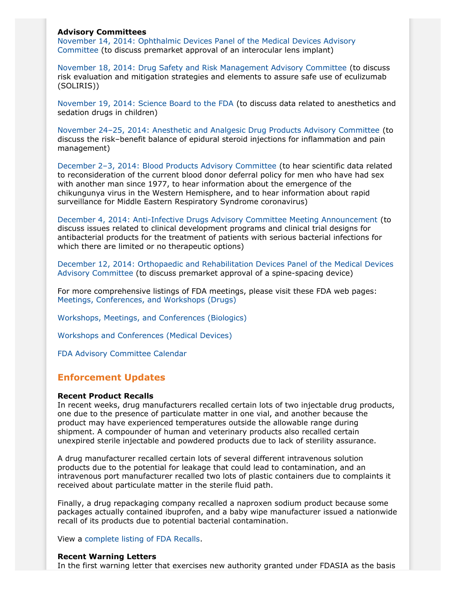## **Advisory Committees**

[November 14, 2014: Ophthalmic Devices Panel of the Medical Devices Advisory](http://www.fda.gov/AdvisoryCommittees/Calendar/ucm416334.htm) [Committee](http://www.fda.gov/AdvisoryCommittees/Calendar/ucm416334.htm) (to discuss premarket approval of an interocular lens implant)

[November 18, 2014: Drug Safety and Risk Management Advisory Committee](http://www.fda.gov/AdvisoryCommittees/Calendar/ucm417986.htm) (to discuss risk evaluation and mitigation strategies and elements to assure safe use of eculizumab (SOLIRIS))

[November 19, 2014: Science Board to the FDA](http://www.fda.gov/AdvisoryCommittees/Calendar/ucm418045.htm) (to discuss data related to anesthetics and sedation drugs in children)

[November 24–25, 2014: Anesthetic and Analgesic Drug Products Advisory Committee](http://www.gpo.gov/fdsys/pkg/FR-2014-10-03/pdf/2014-23549.pdf) (to discuss the risk–benefit balance of epidural steroid injections for inflammation and pain management)

[December 2–3, 2014: Blood Products Advisory Committee](http://www.gpo.gov/fdsys/pkg/FR-2014-10-22/pdf/2014-25067.pdf) (to hear scientific data related to reconsideration of the current blood donor deferral policy for men who have had sex with another man since 1977, to hear information about the emergence of the chikungunya virus in the Western Hemisphere, and to hear information about rapid surveillance for Middle Eastern Respiratory Syndrome coronavirus)

[December 4, 2014: Anti-Infective Drugs Advisory Committee Meeting Announcement](http://www.fda.gov/AdvisoryCommittees/Calendar/ucm420134.htm) (to discuss issues related to clinical development programs and clinical trial designs for antibacterial products for the treatment of patients with serious bacterial infections for which there are limited or no therapeutic options)

[December 12, 2014: Orthopaedic and Rehabilitation Devices Panel of the Medical Devices](http://www.gpo.gov/fdsys/pkg/FR-2014-09-22/pdf/2014-22444.pdf) [Advisory Committee](http://www.gpo.gov/fdsys/pkg/FR-2014-09-22/pdf/2014-22444.pdf) (to discuss premarket approval of a spine-spacing device)

For more comprehensive listings of FDA meetings, please visit these FDA web pages: [Meetings, Conferences, and Workshops \(Drugs\)](http://www.fda.gov/drugs/newsevents/ucm132703.htm)

[Workshops, Meetings, and Conferences \(Biologics\)](http://www.fda.gov/BiologicsBloodVaccines/NewsEvents/WorkshopsMeetingsConferences/ucm280422.htm)

Workshops [and Conferences \(Medical Devices\)](http://www.fda.gov/MedicalDevices/NewsEvents/WorkshopsConferences/default.htm)

[FDA Advisory Committee Calendar](http://www.fda.gov/AdvisoryCommittees/Calendar/default.htm)

## **Enforcement Updates**

#### **Recent Product Recalls**

In recent weeks, drug manufacturers recalled certain lots of two injectable drug products, one due to the presence of particulate matter in one vial, and another because the product may have experienced temperatures outside the allowable range during shipment. A compounder of human and veterinary products also recalled certain unexpired sterile injectable and powdered products due to lack of sterility assurance.

A drug manufacturer recalled certain lots of several different intravenous solution products due to the potential for leakage that could lead to contamination, and an intravenous port manufacturer recalled two lots of plastic containers due to complaints it received about particulate matter in the sterile fluid path.

Finally, a drug repackaging company recalled a naproxen sodium product because some packages actually contained ibuprofen, and a baby wipe manufacturer issued a nationwide recall of its products due to potential bacterial contamination.

View a [complete listing of FDA Recalls.](http://www.fda.gov/safety/recalls/)

#### **Recent Warning Letters**

In the first warning letter that exercises new authority granted under FDASIA as the basis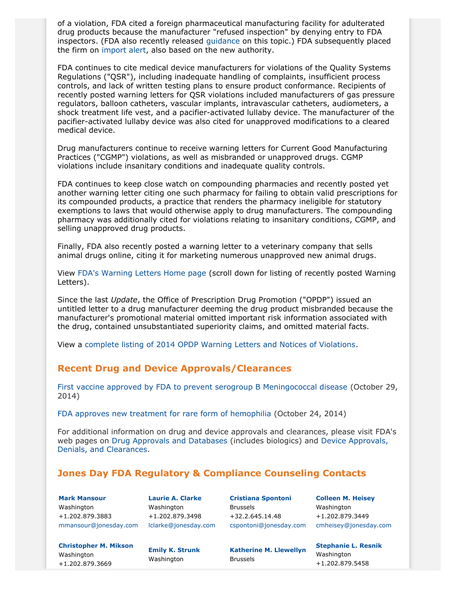of a violation, FDA cited a foreign pharmaceutical manufacturing facility for adulterated drug products because the manufacturer "refused inspection" by denying entry to FDA inspectors. (FDA also recently released [guidance](http://www.fda.gov/downloads/RegulatoryInformation/Guidances/UCM360484.pdf) on this topic.) FDA subsequently placed the firm on [import alert](http://www.accessdata.fda.gov/cms_ia/importalert_821.html), also based on the new authority.

FDA continues to cite medical device manufacturers for violations of the Quality Systems Regulations ("QSR"), including inadequate handling of complaints, insufficient process controls, and lack of written testing plans to ensure product conformance. Recipients of recently posted warning letters for QSR violations included manufacturers of gas pressure regulators, balloon catheters, vascular implants, intravascular catheters, audiometers, a shock treatment life vest, and a pacifier-activated lullaby device. The manufacturer of the pacifier-activated lullaby device was also cited for unapproved modifications to a cleared medical device.

Drug manufacturers continue to receive warning letters for Current Good Manufacturing Practices ("CGMP") violations, as well as misbranded or unapproved drugs. CGMP violations include insanitary conditions and inadequate quality controls.

FDA continues to keep close watch on compounding pharmacies and recently posted yet another warning letter citing one such pharmacy for failing to obtain valid prescriptions for its compounded products, a practice that renders the pharmacy ineligible for statutory exemptions to laws that would otherwise apply to drug manufacturers. The compounding pharmacy was additionally cited for violations relating to insanitary conditions, CGMP, and selling unapproved drug products.

Finally, FDA also recently posted a warning letter to a veterinary company that sells animal drugs online, citing it for marketing numerous unapproved new animal drugs.

View [FDA's Warning Letters Home page](http://www.fda.gov/iceci/enforcementactions/WarningLetters/default.htm) (scroll down for listing of recently posted Warning Letters).

Since the last *Update*, the Office of Prescription Drug Promotion ("OPDP") issued an untitled letter to a drug manufacturer deeming the drug product misbranded because the manufacturer's promotional material omitted important risk information associated with the drug, contained unsubstantiated superiority claims, and omitted material facts.

View a [complete listing of 2014 OPDP Warning Letters and Notices of Violations.](http://www.fda.gov/Drugs/GuidanceComplianceRegulatoryInformation/EnforcementActivitiesbyFDA/WarningLettersandNoticeofViolationLetterstoPharmaceuticalCompanies/ucm380323.htm#DDMAC)

# **Recent Drug and Device Approvals/Clearances**

[First vaccine approved by FDA to prevent serogroup B Meningococcal disease](http://www.fda.gov/NewsEvents/Newsroom/PressAnnouncements/ucm420998.htm) (October 29, 2014)

[FDA approves new treatment for rare form of hemophilia](http://www.fda.gov/NewsEvents/Newsroom/PressAnnouncements/ucm420263.htm) (October 24, 2014)

For additional information on drug and device approvals and clearances, please visit FDA's web pages on [Drug Approvals and Databases](http://www.fda.gov/Drugs/InformationOnDrugs/) (includes biologics) and [Device Approvals,](http://www.fda.gov/medicaldevices/productsandmedicalprocedures/deviceapprovalsandclearances/default.htm) [Denials, and Clearances.](http://www.fda.gov/medicaldevices/productsandmedicalprocedures/deviceapprovalsandclearances/default.htm)

# <span id="page-5-0"></span>**Jones Day FDA Regulatory & Compliance Counseling Contacts**

**[Mark Mansour](http://www.jonesday.com/mmansour)** Washington +1.202.879.3883 [mmansour@jonesday.com](mailto:mmansour@jonesday.com)

**[Laurie A. Clarke](http://www.jonesday.com/lclarke)** Washington +1.202.879.3498 [lclarke@jonesday.com](mailto:lclarke@jonesday.com)

**[Cristiana Spontoni](http://www.jonesday.com/cspontoni)** Brussels +32.2.645.14.48 [cspontoni@jonesday.com](mailto:cspontoni@jonesday.com)

**[Colleen M. Heisey](http://www.jonesday.com/cmheisey)** Washington +1.202.879.3449 [cmheisey@jonesday.com](mailto:cmheisey@jonesday.com)

**[Stephanie L. Resnik](http://www.jonesday.com/sresnik)**

Washington +1.202.879.5458

**[Christopher M. Mikson](http://www.jonesday.com/cmikson)** Washington +1.202.879.3669

**[Emily K. Strunk](http://www.jonesday.com/estrunk)** Washington

**[Katherine M. Llewellyn](http://www.jonesday.com/kllewellyn)** Brussels